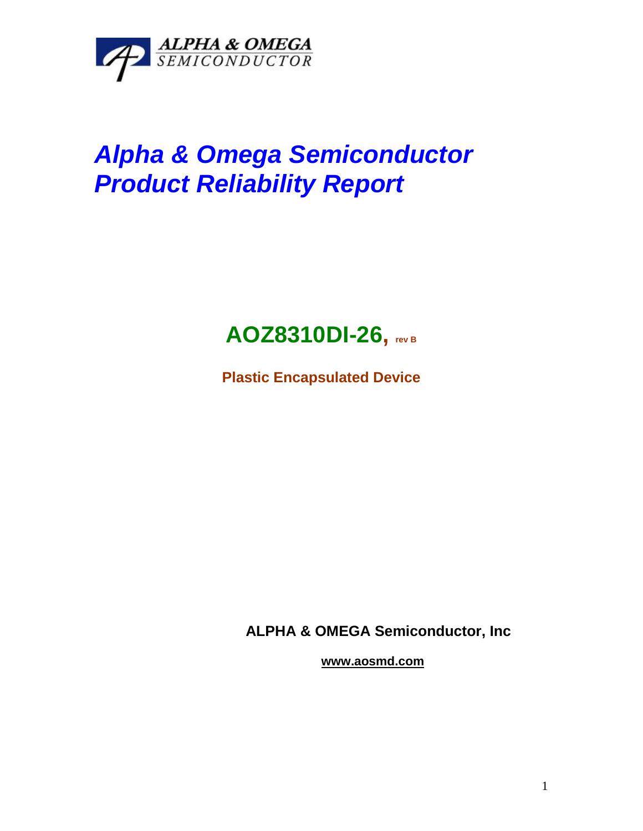

## *Alpha & Omega Semiconductor Product Reliability Report*



**Plastic Encapsulated Device**

**ALPHA & OMEGA Semiconductor, Inc**

**www.aosmd.com**